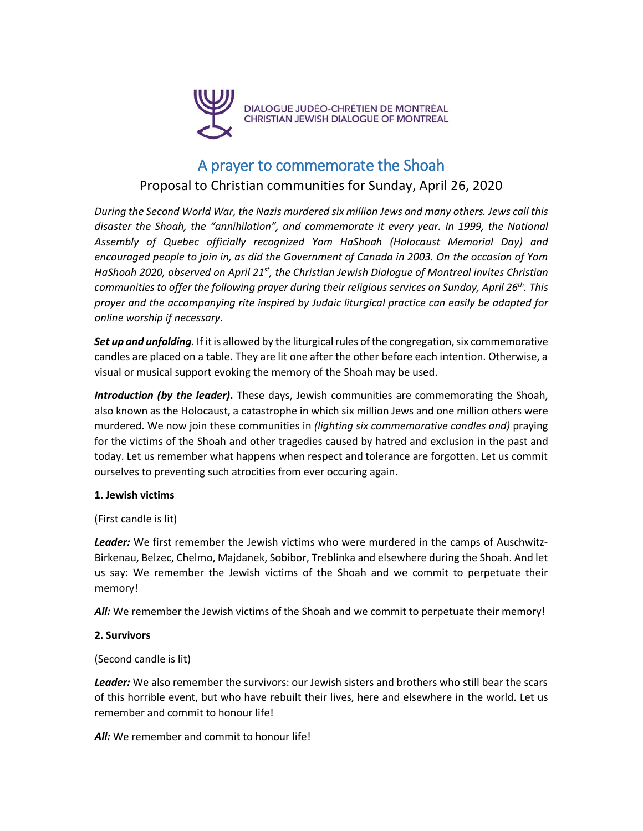

# A prayer to commemorate the Shoah

# Proposal to Christian communities for Sunday, April 26, 2020

*During the Second World War, the Nazis murdered six million Jews and many others. Jews call this disaster the Shoah, the "annihilation", and commemorate it every year. In 1999, the National Assembly of Quebec officially recognized Yom HaShoah (Holocaust Memorial Day) and encouraged people to join in, as did the Government of Canada in 2003. On the occasion of Yom HaShoah 2020, observed on April 21st, the Christian Jewish Dialogue of Montreal invites Christian communities to offer the following prayer during their religious services on Sunday, April 26th. This prayer and the accompanying rite inspired by Judaic liturgical practice can easily be adapted for online worship if necessary.*

Set *up* and *unfolding*. If it is allowed by the liturgical rules of the congregation, six commemorative candles are placed on a table. They are lit one after the other before each intention. Otherwise, a visual or musical support evoking the memory of the Shoah may be used.

*Introduction (by the leader)***.** These days, Jewish communities are commemorating the Shoah, also known as the Holocaust, a catastrophe in which six million Jews and one million others were murdered. We now join these communities in *(lighting six commemorative candles and)* praying for the victims of the Shoah and other tragedies caused by hatred and exclusion in the past and today. Let us remember what happens when respect and tolerance are forgotten. Let us commit ourselves to preventing such atrocities from ever occuring again.

#### **1. Jewish victims**

#### (First candle is lit)

*Leader:* We first remember the Jewish victims who were murdered in the camps of Auschwitz-Birkenau, Belzec, Chelmo, Majdanek, Sobibor, Treblinka and elsewhere during the Shoah. And let us say: We remember the Jewish victims of the Shoah and we commit to perpetuate their memory!

All: We remember the Jewish victims of the Shoah and we commit to perpetuate their memory!

#### **2. Survivors**

#### (Second candle is lit)

*Leader:* We also remember the survivors: our Jewish sisters and brothers who still bear the scars of this horrible event, but who have rebuilt their lives, here and elsewhere in the world. Let us remember and commit to honour life!

All: We remember and commit to honour life!